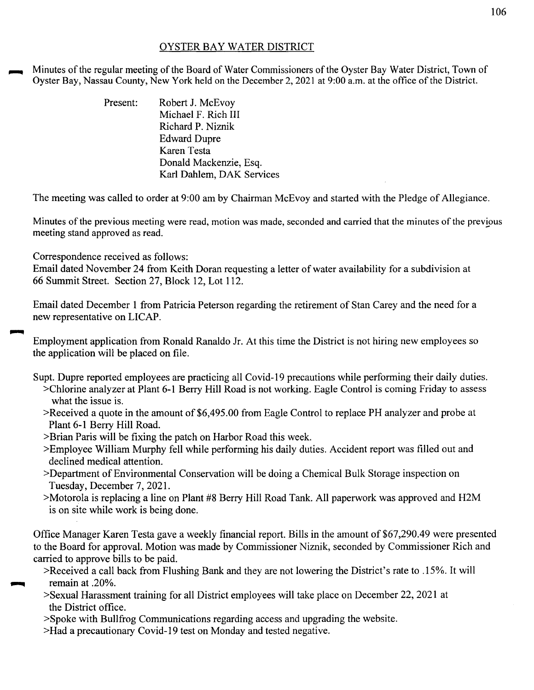## OYSTER BAY WATER DISTRICT

Minutes of the regular meeting of the Board of Water Commissioners of the Oyster Bay Water District, Town of Oyster Bay, Nassau County, New York held on the December 2, 2021 at 9:00 a.m. at the office of the District.

| Present: | Robert J. McEvoy          |
|----------|---------------------------|
|          | Michael F. Rich III       |
|          | Richard P. Niznik         |
|          | <b>Edward Dupre</b>       |
|          | Karen Testa               |
|          | Donald Mackenzie, Esq.    |
|          | Karl Dahlem, DAK Services |

The meeting was called to order at 9:00 am by Chairman McEvoy and started with the Pledge of Allegiance.

Minutes of the previous meeting were read, motion was made, seconded and carried that the minutes of the previous meeting stand approved as read.

Correspondence received as follows:

Email dated November 24 from Keith Doran requesting a letter of water availability for a subdivision at 66 Summit Street. Section 27, Block 12, Lot 112.

Email dated December 1 from Patricia Peterson regarding the retirement of Stan Carey and the need for a new representative on LICAP.

Employment application from Ronald Ranaldo Jr. At this time the District is not hiring new employees so the application will be placed on file.

Supt. Dupre reported employees are practicing all Covid-19 precautions while performing their daily duties.

- >Chlorine analyzer at Plant 6-1 Berry Hill Road is not working. Eagle Control is coming Friday to assess what the issue is.
- >Received a quote in the amount of \$6,495.00 from Eagle Control to replace PH analyzer and probe at Plant 6-1 Berry Hill Road.
- >Brian Paris will be fixing the patch on Harbor Road this week.
- >Employee William Murphy fell while performing his daily duties. Accident report was filled out and declined medical attention.
- >Department of Environmental Conservation will be doing a Chemical Bulk Storage inspection on Tuesday, December 7, 2021.
- >Motorola is replacing a line on Plant #8 Berry Hill Road Tank. All paperwork was approved and H2M is on site while work is being done.

Office Manager Karen Testa gave a weekly financial report. Bills in the amount of \$67,290.49 were presented to the Board for approval. Motion was made by Commissioner Niznik, seconded by Commissioner Rich and carried to approve bills to be paid.

- >Received a call back from Flushing Bank and they are not lowering the District's rate to .15%. It will ~ remain at .20%.
- >Sexual Harassment training for all District employees will take place on December 22, 2021 at the District office.
- >Spoke with Bullfrog Communications regarding access and upgrading the website.
- >Had a precautionary Covid-19 test on Monday and tested negative.